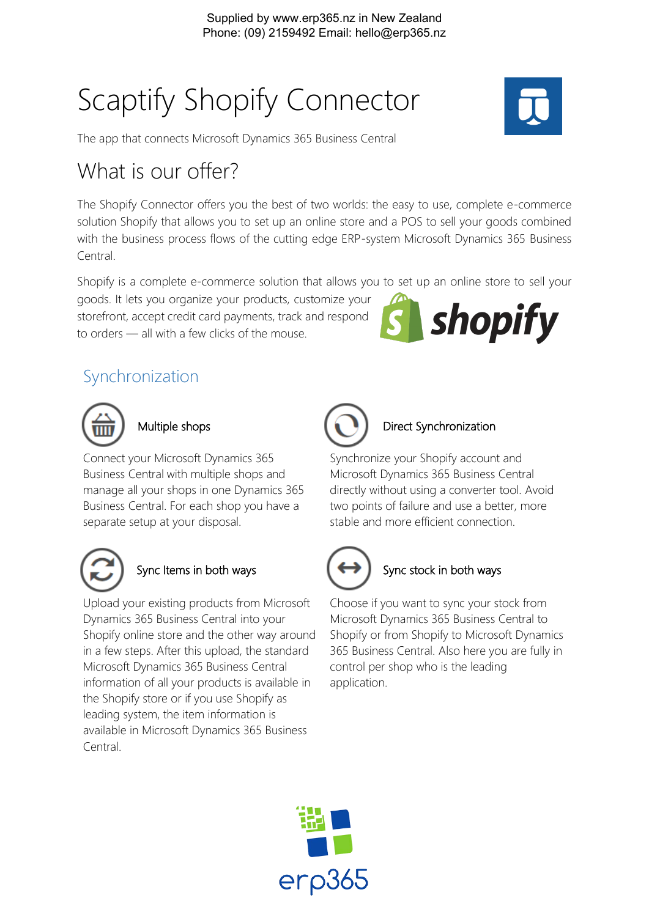# Scaptify Shopify Connector



The app that connects Microsoft Dynamics 365 Business Central

# What is our offer?

The Shopify Connector offers you the best of two worlds: the easy to use, complete e-commerce solution Shopify that allows you to set up an online store and a POS to sell your goods combined with the business process flows of the cutting edge ERP-system Microsoft Dynamics 365 Business Central.

Shopify is a complete e-commerce solution that allows you to set up an online store to sell your

goods. It lets you organize your products, customize your storefront, accept credit card payments, track and respond to orders — all with a few clicks of the mouse.



# Synchronization



# Multiple shops

Connect your Microsoft Dynamics 365 Business Central with multiple shops and manage all your shops in one Dynamics 365 Business Central. For each shop you have a separate setup at your disposal.



Upload your existing products from Microsoft Dynamics 365 Business Central into your Shopify online store and the other way around in a few steps. After this upload, the standard Microsoft Dynamics 365 Business Central information of all your products is available in the Shopify store or if you use Shopify as leading system, the item information is available in Microsoft Dynamics 365 Business Central.



#### Direct Synchronization

Synchronize your Shopify account and Microsoft Dynamics 365 Business Central directly without using a converter tool. Avoid two points of failure and use a better, more stable and more efficient connection.



### Sync Items in both ways  $\left\{\leftarrow\right\}$  Sync stock in both ways

Choose if you want to sync your stock from Microsoft Dynamics 365 Business Central to Shopify or from Shopify to Microsoft Dynamics 365 Business Central. Also here you are fully in control per shop who is the leading application.

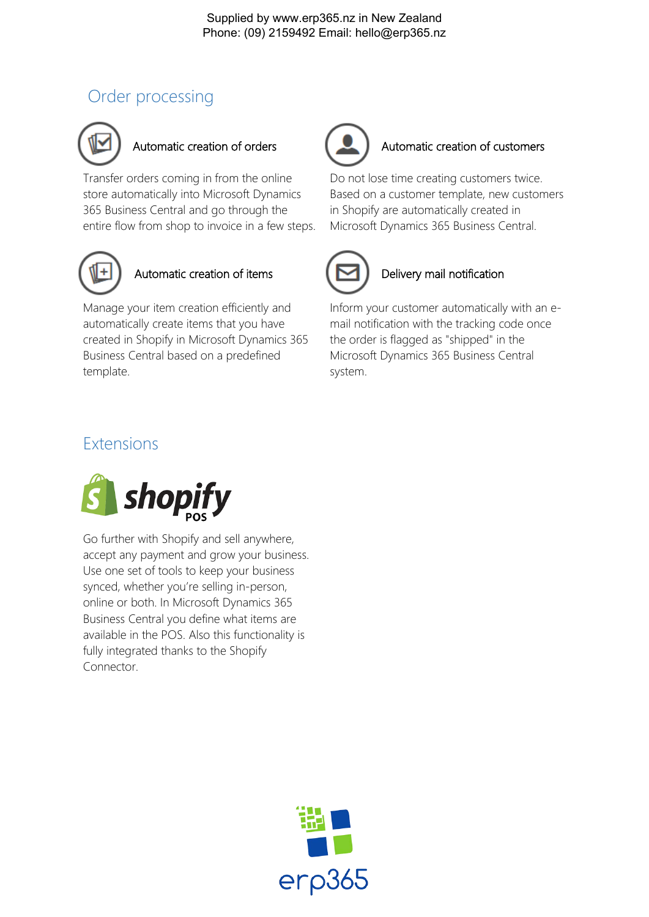# Order processing



Transfer orders coming in from the online store automatically into Microsoft Dynamics 365 Business Central and go through the entire flow from shop to invoice in a few steps.



## Automatic creation of items

Manage your item creation efficiently and automatically create items that you have created in Shopify in Microsoft Dynamics 365 Business Central based on a predefined template.



### Automatic creation of orders **Automatic creation of customers**

Do not lose time creating customers twice. Based on a customer template, new customers in Shopify are automatically created in Microsoft Dynamics 365 Business Central.



#### Delivery mail notification

Inform your customer automatically with an email notification with the tracking code once the order is flagged as "shipped" in the Microsoft Dynamics 365 Business Central system.

# Extensions



Go further with Shopify and sell anywhere, accept any payment and grow your business. Use one set of tools to keep your business synced, whether you're selling in-person, online or both. In Microsoft Dynamics 365 Business Central you define what items are available in the POS. Also this functionality is fully integrated thanks to the Shopify Connector.